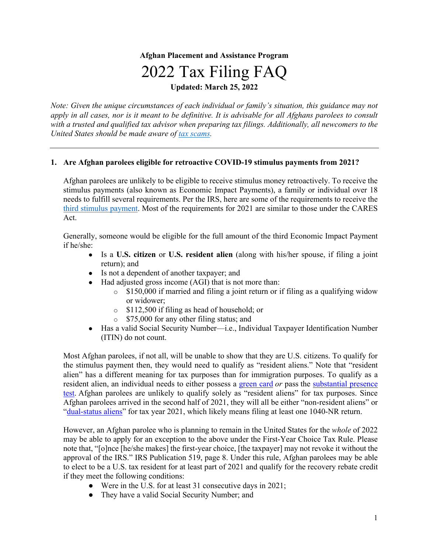#### **Afghan Placement and Assistance Program**

# 2022 Tax Filing FAQ

**Updated: March 25, 2022**

*Note: Given the unique circumstances of each individual or family's situation, this guidance may not apply in all cases, nor is it meant to be definitive. It is advisable for all Afghans parolees to consult with a trusted and qualified tax advisor when preparing tax filings. Additionally, all newcomers to the United States should be made aware of tax scams.* 

#### **1. Are Afghan parolees eligible for retroactive COVID-19 stimulus payments from 2021?**

Afghan parolees are unlikely to be eligible to receive stimulus money retroactively. To receive the stimulus payments (also known as Economic Impact Payments), a family or individual over 18 needs to fulfill several requirements. Per the IRS, here are some of the requirements to receive the third stimulus payment. Most of the requirements for 2021 are similar to those under the CARES Act.

Generally, someone would be eligible for the full amount of the third Economic Impact Payment if he/she:

- Is a **U.S. citizen** or **U.S. resident alien** (along with his/her spouse, if filing a joint return); and
- Is not a dependent of another taxpayer; and
- Had adjusted gross income (AGI) that is not more than:
	- $\circ$  \$150,000 if married and filing a joint return or if filing as a qualifying widow or widower;
	- o \$112,500 if filing as head of household; or
	- o \$75,000 for any other filing status; and
- Has a valid Social Security Number—i.e., Individual Taxpayer Identification Number (ITIN) do not count.

Most Afghan parolees, if not all, will be unable to show that they are U.S. citizens. To qualify for the stimulus payment then, they would need to qualify as "resident aliens." Note that "resident alien" has a different meaning for tax purposes than for immigration purposes. To qualify as a resident alien, an individual needs to either possess a green card or pass the substantial presence test. Afghan parolees are unlikely to qualify solely as "resident aliens" for tax purposes. Since Afghan parolees arrived in the second half of 2021, they will all be either "non-resident aliens" or "dual-status aliens" for tax year 2021, which likely means filing at least one 1040-NR return.

However, an Afghan parolee who is planning to remain in the United States for the *whole* of 2022 may be able to apply for an exception to the above under the First-Year Choice Tax Rule. Please note that, "[o]nce [he/she makes] the first-year choice, [the taxpayer] may not revoke it without the approval of the IRS." IRS Publication 519, page 8. Under this rule, Afghan parolees may be able to elect to be a U.S. tax resident for at least part of 2021 and qualify for the recovery rebate credit if they meet the following conditions:

- Were in the U.S. for at least 31 consecutive days in 2021;
- They have a valid Social Security Number; and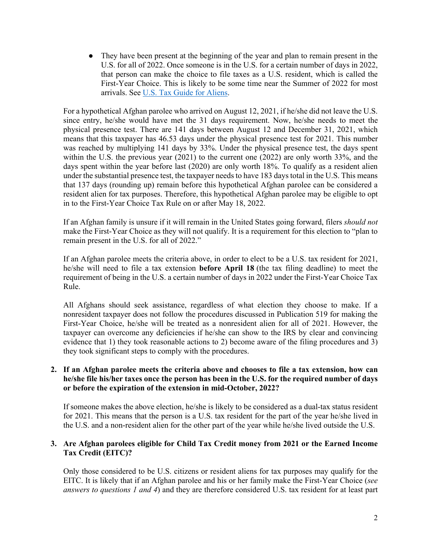● They have been present at the beginning of the year and plan to remain present in the U.S. for all of 2022. Once someone is in the U.S. for a certain number of days in 2022, that person can make the choice to file taxes as a U.S. resident, which is called the First-Year Choice. This is likely to be some time near the Summer of 2022 for most arrivals. See U.S. Tax Guide for Aliens.

For a hypothetical Afghan parolee who arrived on August 12, 2021, if he/she did not leave the U.S. since entry, he/she would have met the 31 days requirement. Now, he/she needs to meet the physical presence test. There are 141 days between August 12 and December 31, 2021, which means that this taxpayer has 46.53 days under the physical presence test for 2021. This number was reached by multiplying 141 days by 33%. Under the physical presence test, the days spent within the U.S. the previous year (2021) to the current one (2022) are only worth 33%, and the days spent within the year before last (2020) are only worth 18%. To qualify as a resident alien under the substantial presence test, the taxpayer needs to have 183 days total in the U.S. This means that 137 days (rounding up) remain before this hypothetical Afghan parolee can be considered a resident alien for tax purposes. Therefore, this hypothetical Afghan parolee may be eligible to opt in to the First-Year Choice Tax Rule on or after May 18, 2022.

If an Afghan family is unsure if it will remain in the United States going forward, filers *should not* make the First-Year Choice as they will not qualify. It is a requirement for this election to "plan to remain present in the U.S. for all of 2022."

If an Afghan parolee meets the criteria above, in order to elect to be a U.S. tax resident for 2021, he/she will need to file a tax extension **before April 18** (the tax filing deadline) to meet the requirement of being in the U.S. a certain number of days in 2022 under the First-Year Choice Tax Rule.

All Afghans should seek assistance, regardless of what election they choose to make. If a nonresident taxpayer does not follow the procedures discussed in Publication 519 for making the First-Year Choice, he/she will be treated as a nonresident alien for all of 2021. However, the taxpayer can overcome any deficiencies if he/she can show to the IRS by clear and convincing evidence that 1) they took reasonable actions to 2) become aware of the filing procedures and 3) they took significant steps to comply with the procedures.

#### **2. If an Afghan parolee meets the criteria above and chooses to file a tax extension, how can he/she file his/her taxes once the person has been in the U.S. for the required number of days or before the expiration of the extension in mid-October, 2022?**

If someone makes the above election, he/she is likely to be considered as a dual-tax status resident for 2021. This means that the person is a U.S. tax resident for the part of the year he/she lived in the U.S. and a non-resident alien for the other part of the year while he/she lived outside the U.S.

#### **3. Are Afghan parolees eligible for Child Tax Credit money from 2021 or the Earned Income Tax Credit (EITC)?**

Only those considered to be U.S. citizens or resident aliens for tax purposes may qualify for the EITC. It is likely that if an Afghan parolee and his or her family make the First-Year Choice (*see answers to questions 1 and 4*) and they are therefore considered U.S. tax resident for at least part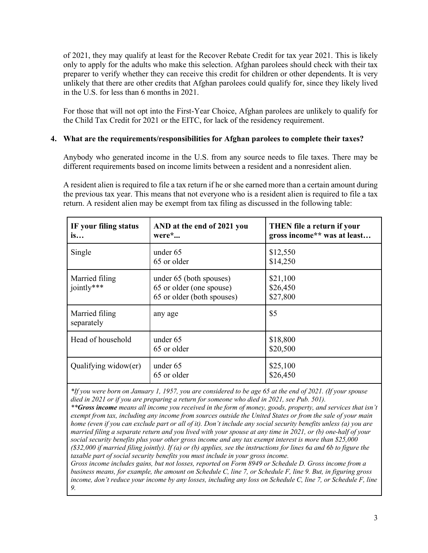of 2021, they may qualify at least for the Recover Rebate Credit for tax year 2021. This is likely only to apply for the adults who make this selection. Afghan parolees should check with their tax preparer to verify whether they can receive this credit for children or other dependents. It is very unlikely that there are other credits that Afghan parolees could qualify for, since they likely lived in the U.S. for less than 6 months in 2021.

For those that will not opt into the First-Year Choice, Afghan parolees are unlikely to qualify for the Child Tax Credit for 2021 or the EITC, for lack of the residency requirement.

#### **4. What are the requirements/responsibilities for Afghan parolees to complete their taxes?**

Anybody who generated income in the U.S. from any source needs to file taxes. There may be different requirements based on income limits between a resident and a nonresident alien.

A resident alien is required to file a tax return if he or she earned more than a certain amount during the previous tax year. This means that not everyone who is a resident alien is required to file a tax return. A resident alien may be exempt from tax filing as discussed in the following table:

| IF your filing status<br>is  | AND at the end of 2021 you<br>were $\cdot$                                        | <b>THEN</b> file a return if your<br>gross income** was at least |
|------------------------------|-----------------------------------------------------------------------------------|------------------------------------------------------------------|
| Single                       | under 65<br>65 or older                                                           | \$12,550<br>\$14,250                                             |
| Married filing<br>jointly*** | under 65 (both spouses)<br>65 or older (one spouse)<br>65 or older (both spouses) | \$21,100<br>\$26,450<br>\$27,800                                 |
| Married filing<br>separately | any age                                                                           | \$5                                                              |
| Head of household            | under 65<br>65 or older                                                           | \$18,800<br>\$20,500                                             |
| Qualifying widow(er)         | under 65<br>65 or older                                                           | \$25,100<br>\$26,450                                             |

*\*If you were born on January 1, 1957, you are considered to be age 65 at the end of 2021. (If your spouse died in 2021 or if you are preparing a return for someone who died in 2021, see Pub. 501).*

*\*\*Gross income means all income you received in the form of money, goods, property, and services that isn't exempt from tax, including any income from sources outside the United States or from the sale of your main home (even if you can exclude part or all of it). Don't include any social security benefits unless (a) you are married filing a separate return and you lived with your spouse at any time in 2021, or (b) one-half of your social security benefits plus your other gross income and any tax exempt interest is more than \$25,000 (\$32,000 if married filing jointly). If (a) or (b) applies, see the instructions for lines 6a and 6b to figure the taxable part of social security benefits you must include in your gross income.* 

*Gross income includes gains, but not losses, reported on Form 8949 or Schedule D. Gross income from a business means, for example, the amount on Schedule C, line 7, or Schedule F, line 9. But, in figuring gross income, don't reduce your income by any losses, including any loss on Schedule C, line 7, or Schedule F, line 9.*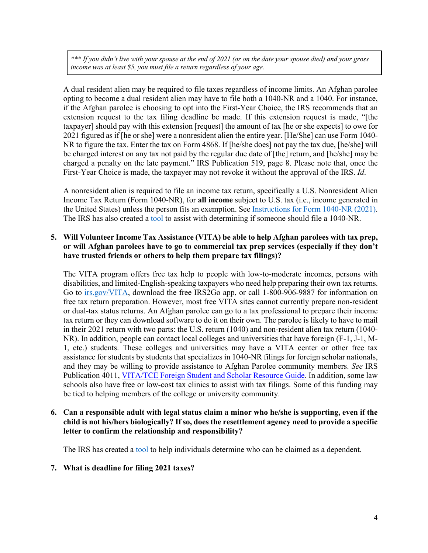*\*\*\* If you didn't live with your spouse at the end of 2021 (or on the date your spouse died) and your gross income was at least \$5, you must file a return regardless of your age.* 

A dual resident alien may be required to file taxes regardless of income limits. An Afghan parolee opting to become a dual resident alien may have to file both a 1040-NR and a 1040. For instance, if the Afghan parolee is choosing to opt into the First-Year Choice, the IRS recommends that an extension request to the tax filing deadline be made. If this extension request is made, "[the taxpayer] should pay with this extension [request] the amount of tax [he or she expects] to owe for 2021 figured as if [he or she] were a nonresident alien the entire year. [He/She] can use Form 1040- NR to figure the tax. Enter the tax on Form 4868. If [he/she does] not pay the tax due, [he/she] will be charged interest on any tax not paid by the regular due date of [the] return, and [he/she] may be charged a penalty on the late payment." IRS Publication 519, page 8. Please note that, once the First-Year Choice is made, the taxpayer may not revoke it without the approval of the IRS. *Id*.

A nonresident alien is required to file an income tax return, specifically a U.S. Nonresident Alien Income Tax Return (Form 1040-NR), for **all income** subject to U.S. tax (i.e., income generated in the United States) unless the person fits an exemption. See Instructions for Form 1040-NR (2021). The IRS has also created a tool to assist with determining if someone should file a 1040-NR.

#### **5. Will Volunteer Income Tax Assistance (VITA) be able to help Afghan parolees with tax prep, or will Afghan parolees have to go to commercial tax prep services (especially if they don't have trusted friends or others to help them prepare tax filings)?**

The VITA program offers free tax help to people with low-to-moderate incomes, persons with disabilities, and limited-English-speaking taxpayers who need help preparing their own tax returns. Go to irs.gov/VITA, download the free IRS2Go app, or call 1-800-906-9887 for information on free tax return preparation. However, most free VITA sites cannot currently prepare non-resident or dual-tax status returns. An Afghan parolee can go to a tax professional to prepare their income tax return or they can download software to do it on their own. The parolee is likely to have to mail in their 2021 return with two parts: the U.S. return (1040) and non-resident alien tax return (1040- NR). In addition, people can contact local colleges and universities that have foreign (F-1, J-1, M-1, etc.) students. These colleges and universities may have a VITA center or other free tax assistance for students by students that specializes in 1040-NR filings for foreign scholar nationals, and they may be willing to provide assistance to Afghan Parolee community members. *See* IRS Publication 4011, VITA/TCE Foreign Student and Scholar Resource Guide. In addition, some law schools also have free or low-cost tax clinics to assist with tax filings. Some of this funding may be tied to helping members of the college or university community.

#### **6. Can a responsible adult with legal status claim a minor who he/she is supporting, even if the child is not his/hers biologically? If so, does the resettlement agency need to provide a specific letter to confirm the relationship and responsibility?**

The IRS has created a tool to help individuals determine who can be claimed as a dependent.

#### **7. What is deadline for filing 2021 taxes?**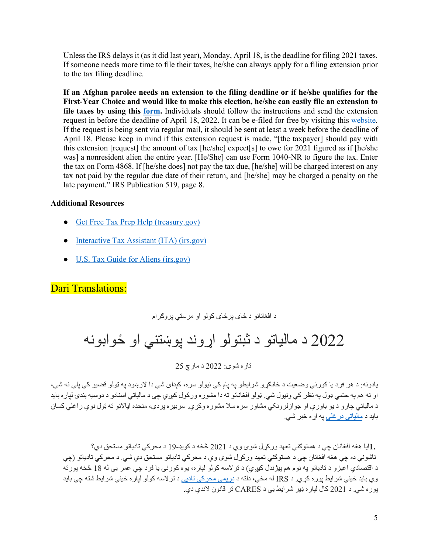Unless the IRS delays it (as it did last year), Monday, April 18, is the deadline for filing 2021 taxes. If someone needs more time to file their taxes, he/she can always apply for a filing extension prior to the tax filing deadline.

**If an Afghan parolee needs an extension to the filing deadline or if he/she qualifies for the First-Year Choice and would like to make this election, he/she can easily file an extension to file taxes by using this form.** Individuals should follow the instructions and send the extension request in before the deadline of April 18, 2022. It can be e-filed for free by visiting this website. If the request is being sent via regular mail, it should be sent at least a week before the deadline of April 18. Please keep in mind if this extension request is made, "[the taxpayer] should pay with this extension [request] the amount of tax [he/she] expect[s] to owe for 2021 figured as if [he/she was] a nonresident alien the entire year. [He/She] can use Form 1040-NR to figure the tax. Enter the tax on Form 4868. If [he/she does] not pay the tax due, [he/she] will be charged interest on any tax not paid by the regular due date of their return, and [he/she] may be charged a penalty on the late payment." IRS Publication 519, page 8.

#### **Additional Resources**

- Get Free Tax Prep Help (treasury.gov)
- Interactive Tax Assistant (ITA) (irs.gov)
- U.S. Tax Guide for Aliens (irs.gov)

#### Dari Translations:

د افغانانو د ځای پر ځای کولو او مرستی پر وګر ام

## 2022 د مالياتو د ثبتولو اړوند پوښتنې او ځوابونه

 $25 \approx 2022$  د مارچ

بادونه: د هر فر د با کور نے وضعیت د ځانګر و شر ابطو به بام کے نیولو سر ه، کیدای شے دا لار ښود به ټولو قضیو کے بلے نه شے، او نه هم په حتمي ډول په نظر كي ونيول شي<sub>.</sub> ټولو افغانانو ته دا مشوره وركول كېږي چي د مالياتي اسنادو د دوسيه بندي لپاره بايد د مالياتي چارو د يو باوري او جوازلرونکي مشاور سره سلا مشوره وکړي. سربيره پردي، متحده ايالاتو ته ټول نوي راغلي کسان بايد د مالياتي در غلي په اړ ه خبر شي.

1. ايا هغه افغانان چي د هستوګني تعهد ورکړل شوي وي د 2021 څخه د کويډ-19 د محرکي تادياتو مستحق دي؟ ناشوني ده چي هغه افغانان چي د هستوګني تعهد ورکړل شوي وي د محرکي تادياتو مستحق دي شي. د محرکي تادياتو (چي د اقتصادي اغيزو د تادياتو په نوم هم پيژندل كيږي) د ترلاسه كولو لپاره، يوه كورنۍ يا فرد چي عمر يي له 18 څخه پورته وي بايد ځيني شرايط پوره كړي. د IRS له مخې، دلته د دريمي محركي تاديي د تر لاسه كولو لپار ه ځيني شرايط شته جي بايد بور ه شي. د 2021 كال لپار ه ډير شر ايط يې د CARES تر قانون لاندې دي.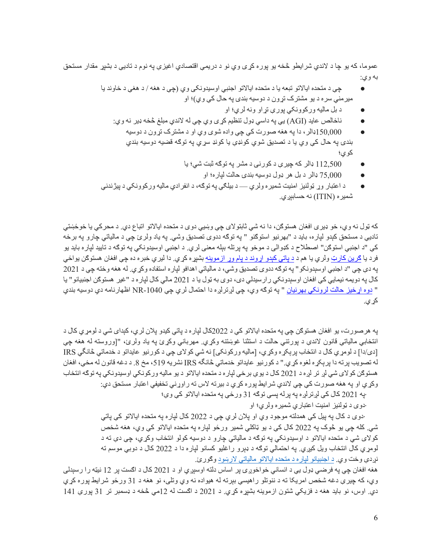عموما، که يو چا د لاندې شرايطو څخه يو پوره کړي وي نو د دريمي اقتصادي اغيزي په نوم د تاديي د بشپړ مقدار مستحق :يو ھب

- چې د متحده ایالاتو تبعه یا د متحده ایالاتو اجنبي اوسیدونکي وي (چې د هغه / د هغې د خاوند یا ميرمني سره د يو مشترک تړون د دوسيه بندۍ په حال کې وي)؛ او
	- د بل ماليه ورکوونکي يوري تړاو ونه لري؛ او
	- ناخالص عايد (AGI) يې په داسي ډول تنظيم كړي وي چي له لاندي مبلغ څخه ډير نه وي:
		- ه  $150,000$ ډالر ، دا په هغه صورت کې چې واده شوی وي او د مشترک تړون د دوسيه بندي په حال کې وي يا د تصديق شوي کونډي يا کونډ سړي په توگه قضيه دوسپه بندي کو ی؛
			- 112,500 ډالر که چيرې د کورنۍ د مشر په توګه ثبت شي؛ يا
				- 75,000 ډالر د بل هر ډول دوسيه بندۍ حالت لپاره؛ او
- د اعتبار وړ ټولنيز امنيت شميره ولري د بيلګې په توګه، د انفرادي ماليه وړ کوونکي د بيژندنې شمیر ه (ITIN) نه حسابېږي.

كه ټول نه وي، خو ډيري افغان هستوګن، دا نه شي ثابتولاي چي وښيي دوي د متحده ايالاتو اتباع دي. د محركي يا خوځښتي تاديي د مستحق کېدو لپار ه، بايد د "بهرنيو استوګنو " په توګه ددوی تصديق وشي. په ياد ولرئ چي د مالياتي چار و په برخه كي "د اجنبي استوګن" اصطلاح د كډوالۍ د موخو په پرتله بېله معني لري. د اجنبي اوسيدونكي په توګه د تاييد لپاره بايد يو فرد يا <u>ګرين کارټ</u> ولري يا هم د <u>د</u> پاتي کېدو اړوند د پام وړ ازموينه بشپړه کړي. دا ليري خبره ده چې افغان هستوګن يواځي په دې چي "د اجنبي اوسېدونکو" په توګه ددوي تصديق وشي، د مالياتي اهدافو لپاره استفاده وکړي. له هغه وخته چي د 2021 کال په دويمه نيمايي کي افغان اوسېدونکي رارسيدلي دي، دوی به ټول يا د 2021 مالي کال لپاره د "غير هستوګن اجنبيانو" يا " دوه اړخيز حالت لرونکي بهرنيان " په توګه وي، چي لږترلږه دا احتمال لري چي 1040-NR اظهارنامه دي دوسيه بندي کړ ي.

يه هر صورت، يو افغان هستوګن چي په متحده ايالاتو کي د 2022کال لپار ه د پاتي کيدو پلان لري، کېداي شي د لومړي کال د انتخابي مالياتي قانون لاندې د پورتني حالت د استثنا غوښتنه وکړي<sub>.</sub> مهرباني وکړئ په ياد ولرئ، "[وروسته له هغه چې [دي/دا] د لومړي کال د انتخاب پرېکړ ه وکړ ي، [ماليه ورکونکي] نه شي کولای چي د کورنيو عايداتو د خدماتي څانگي IRS له تصويب پرته دا پرېكړه لغوه كړي." د كورنيو عايداتو خدماتي څانگه IRS نشريه 519، مخ 8. د دغه قانون له مخي، افغان هستوګن کولای شي لږ تر لږه د 2021 کال د يوې برخي لپاره د متحده ايالاتو د يو ماليه ورکونکي اوسيدونکي په توګه انتخاب وکړي او په هغه صورت کی چی لاندې شرایط پوره کړي د بیرته لاس ته راوړنی تخفیفی اعتبار مستحق دي:

·په 2021 کال کې لږتر لږه په پر له پسې توګه 31 ورځي په متحده ايالاتو کې وې؛

·دوی د ټولنيز امنيت اعتباري شميره ولري؛ او

دوی د کال په پيل کې همدلته موجود وي او پلان لري چې د 2022 کال لپاره په متحده ايالاتو کې پاتې شي کله چي يو څوک په 2022 کال کي د يو ټاکلي شمير ورځو لپاره په متحده ايالاتو کي وي، هغه شخص کولای شي د متحده ايالاتو د اوسيدونکي په توګه د مالياتي چارو د دوسيه کولو انتخاب وکړي، چي دې ته د لومړي کال انتخاب ویل کیږي په احتمالي توګه د ډېرو راغلیو کسانو لپاره دا د 2022 کال د دوبی موسم ته نږدي وخت وي. د اجنبيانو لپاره د متحده ايالاتو مالياتي لارښود وګورئ.

هغه افغان چي په فرضي ډول يي د انساني خواخوږۍ پر اساس دلته اوسېږي او د 2021 کال د اګست پر 12 نيټه را رسېدلي وي، که چیرې دغه شخص امریکا ته د ننوتلو راهیسی بېرته له هیواده نه وي وتلی، نو هغه د 31 ورځو شرایط پوره کړې دي. اوس، نو بايد هغه د فزيکي شتون ازموينه بشپړه کړي. د 2021 د اګست له 12مي څخه د ډسمبر تر 31 پورې 141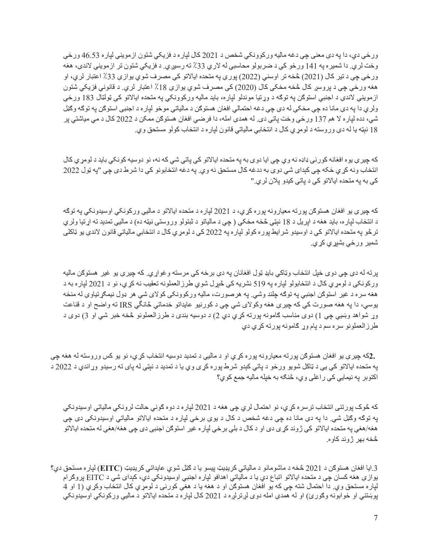ورځي دي، دا په دې معني چي دغه ماليه وركوونكي شخص د 2021 كال لپار ه د فزيكي شتون ازمويني لپاره 46.53 ورځي وخت لري. دا شمير ه په 141 ور ځو کې د ضربولو محاسبې له لاري 33٪ ته رسيږي. د فزيکي شتون تر ازموينې لاندې، هغه ورځې چې د نير کال ( 2021) څخه تر اوسني ( 2022) پورې په متحده ايالاتو کي مصرف شوي يوازې 33٪ اعتبار لري، او هغه ورځې چې د پروسږ کال څخه مخکې کال (2020) کې مصرف شوي يوازې 18٪ اعتبار لري. د قانوني فزيکي شتون ازموينې لاندې د اجنبي استوګن په توګه د وړتيا موندلو لپار ه، بايد ماليه ورکوونکي په متحده ايالاتو کې ټولټال 183 ورځې ولري دا په دې مانا ده چې مخکې له دې چې دغه احتمالي افغان هستوګن د مالياتي موخو لپار ه د اجنبي استوګن په توګه وګڼل شي، دده لپار ه لا هم 137 ورځي وخت پاتي دي. له همدې امله، دا فرضـي افغان هستوګن ممکن د 2022 کال د مي مياشتي پر 18 نېټه يا له دې وروسته د لومړي کال د انتخابي مالياتي قانون لپاره د انتخاب کولو مستحق وي.

که چير ې يوه افغانه کور ني ډاډه نه وي چي ايا دوی به په متحده ايالاتو کي پاتي شي که نه، نو دوسيه کونکي بايد د لومړي کال انتخاب ونه کړ ي ځکه چې کېدای شي دوی به ددغه کال مستحق نه وي. په دغه انتخابونو کې دا شرط دی چې "په ټول 2022 کی به په متحده ایالاتو کی د پاتی کیدو پلان لري."

که چیری پو افغان هستوګن پورته معیارونه پوره کړي، د 2021 لیاره د متحده ایالاتو د مالیی ورکونکی اوسیدونکی په توګه د انتخاب لپار ه، بايد هغه د اپريل د 18 نېټي څخه مخکي ( چې د مالياتو د ثبتولو وروستۍ نيټه ده) د ماليې تمديد ته اړتيا ولري تر څو په متحده ایالاتو کی د اوسیدو شر ایط پور ه کولو لپار ه په 2022 کی د لومړي کال د انتخابی مالیاتی قانون لاندې يو ټاکلی شمير ورځي بشپړ*ي* کړ*ي.* 

برته له دی چی دوی خیل انتخاب وټاکی بایډ ټول افغانان په دی برخه کی مرسته و غواړی. که چیری یو غیر هستوګن مالیه ورکونکي د لومړي کال د انتخابولو لپاره په 519 نشريه کې څېړل شوي طرز العملونه تعقيب نه کړي، نو د 2021 لپاره به د هغه سره د غير استوګن اجنبي په توګه چلند وشي په هرصورت، ماليه ورکوونکي کولای شي هر ډول نيمګړتياوې له منځه يوسي، دا په هغه صورت کې که چيرې هغه وکولای شي چې د کورنيو عايداتو خدماتي څانگي IRS ته واضح او د قناعت وړ شواهد وښيې چې 1) دوی مناسب ګامونه پورته کړي دي 2) د دوسيه بندۍ د طرزالعملونو څخه خبر شي او 3) دوی د طرز العملونو سره سم د پام وړ ګامونه پورته کړي دي

.2که چيرې يو افغان هستوګن پورته معيارونه پوره کړي او د ماليې د تمديد دوسيه انتخاب کړي، نو يو کس وروسته له هغه چې په متحده ایالاتو کې یې د ټاکل شویو ورځو د پاتي کېدو شرط پوره کړی وي یا د تمدید د نېټې له پای ته رسیدو وړاندي د 2022 د اکتوبر په نيمايي کي راغلي وي، څنګه به خپله ماليه جمع کوي؟

که څوک پورتني انتخاب ترسره کړي، نو احتمال لري چي هغه د 2021 لپاره د دوه ګوني حالت لرونکي مالياتي اوسيدونکي په توګه وګڼل شي. دا په دې مانا ده چي دغه شخص د کال د يوې برخي لپاره د متحده ايالاتو مالياتي اوسيدونکي دي چي هغه/هغې په متحده ایالاتو کي ژوند کړ ی دی او د کال د بلي برخي لپار ه غیر استوګن اجنبي دی چي هغه/هغې له متحده ایالاتو څخه بهر ژوند کاوه.

3.ايا افغان هستوګن د 2021 څخه د ماشومانو د مالياتي کريډيټ پيسو يا د ګټل شوي عايداتي کريډيټ (EITC) لپاره مستحق دي؟ يواز ي هغه کسان چې د متحده ایالاتو اتباع دي يا د مالياتي اهدافو لپار ه اجنبي اوسيدونکي دي، کېدای شي د EITC پروگرام لپاره مستحق وي. دا احتمال شته چې که يو افغان هستوګن او د هغه يا د هغې کورنۍ د لومړي کال انتخاب وکړي (1 او 4 پوښتني او ځوابونه وګورئ) او له همدې امله دوی لږترلږه د 2021 کال لپاره د متحده ايالاتو د ماليې ورکونکي اوسيدونکي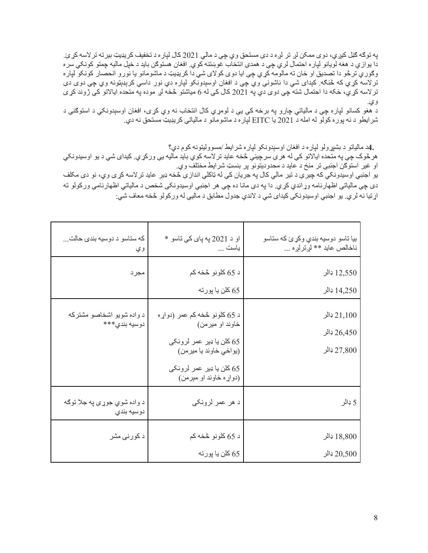په توګه ګڼل کيږي، دوی ممکن لږ تر لږه د دې مستحق وي چی د مالی 2021 کال لپار ه د تخفيف کريډيټ بيرته تر لاسه کړئ. دا يوازي د هغه لويانو لپاره احتمال لري چي د همدې انتخاب غوښتنه كوي. افغان هستوګن بايد د خپل ماليه چمتو كونكي سره وګوري ترڅو دا تصديق او ځان ته مالومه کړي چې ايا دوی کولای شي دا کريډيټ د ماشومانو يا نورو انحصار کونکو لپار ه ترلاسه کړي که څنګه. کېدای شي دا ناشونې وي چې د افغان اوسېدونکو لپاره دي نور داسي کرېډېټونه وي چې دوی دې تر لاسه كړي، حُكه دا احتمال شته چې دوى دي په 2021 كال كې له 6 مياشتو څخه لږ موده په متحده ايالاتو كې ژوند كړى وي.

د هغو كسانو لپاره چې د مالياتي چارو په برخه كې يې د لومړي كال انتخاب نه وي كړى، افغان اوسېدونكي د استوګنې د شر ایطو د نه پوره کولو له امله د 2021 یا EITC لپاره د ماشومانو د مالیاتي کریډیټ مستحق نه دي.

**4.** مالياتو د بشپړولو لپاره د افغان اوسېدونکو لپاره شرايط ⁄مسووليتونه کوم دي؟

هر څوک چې په منحده ايالاتو کې له هر ي سر چينې څخه عايد تر لاسه کوي بايد ماليه يې ور کړ ي. کيدای شي د يو اوسيدونکي او غیر استوګن اجنبی تر منځ د عاید د محدودیتونو پر بنسټ شرایط مختلف وي. يو اجنبي اوسيدونکي که چير ې د تير مالي کال په جريان کې له ټاکلې انداز ې څخه ډير عايد تر لاسه کړی وي، نو دی مکلف

دی چې مالياتې اظهار نامه وړاندي کړي. دا په دې مانا ده چې هر اجنبي اوسيدونکي شخص د مالياتي اظهار نامې ورکولو ته اړتيا نه لري. يو اجنبي اوسيدونکي کيداي شي د لاندي جدول مطابق د ماليي له ورکولو څخه معاف شي:

| که ستاسو د دوسیه بندی حالت<br>و ي          | او د 2021 په پای کې تاسو *<br>ياست                                                                                                                           | بيا تاسو دوسيه بندي وكړئ كه ستاسو<br>ناخالص عايد ** لږترلږه |
|--------------------------------------------|--------------------------------------------------------------------------------------------------------------------------------------------------------------|-------------------------------------------------------------|
| مجرد                                       | د 65 كلونو څخه كم<br>65 كلن يا پورته                                                                                                                         | $12,550$ ډالر<br>14,250 ډالر                                |
| د واده شویو اشخاصو مشترکه<br>دوسيه بندي*** | د 65 کلونو څخه کم عمر (دواړه<br>خاوند او ميرمن)<br>65 كلن يا ډير عمر لرونكى<br>(يواځي خاوند يا مير من)<br>65 كلن يا ډير عمر لرونكى<br>(دواړه خاوند او مېرمن) | 21,100<br>26,450 ډالر<br>27,800 ډالر                        |
| د واده شوي جوړې په جلا توګه<br>دوسيه بندي  | د هر عمر لرونکی                                                                                                                                              | 5 ډالر                                                      |
| د کورنۍ مشر                                | د 65 كلونو څخه كم<br>65 كلن يا پورته                                                                                                                         | 18,800 ډالر<br>20,500                                       |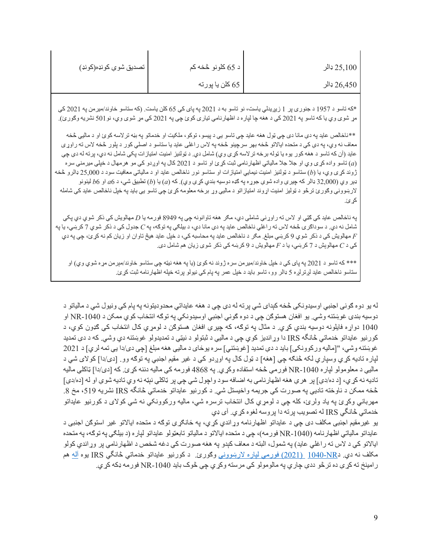| 25,100 ډالر | د 65 کلونو څخه کم | تصديق شوى كونډه(كونډ) |
|-------------|-------------------|-----------------------|
| 26,450 ډالر | 65 كلن يا پورته   |                       |

\*كه تاسو د 1957 د جنورۍ پر 1 زبيريدلي ياست، نو تاسو به د 2021 په پای كې 65 كلن ياست. (كه ستاسو خاوند/ميرمن په 2021 كې مړ ش*وی و*ي یا که ناسو په 2021 کې د هغه چا لپاره د اظهارنامې نیا*ر ی* کوئ چې په 2021 کې مړ ش*وی و*ي، نو 501 نشریه وګو*رئ).* 

\*\*ناخالص عابد به دي مانا دي چي ټول هغه عابد چي تاسو يي د بيسو، توکو، ملکيت او خدماتو به بڼه تر لاسه کوئ او د ماليي څخه معاف نه وي، په دي کي د متحده ایالاتو څخه بهر سرچینو څخه په لاس راغلي عاید یا ستاسو د اصلي کور د پلور څخه لاس ته راوړي عابد (آن که تاسو د هغه کور پوه یا ټوله برخه ترلاسه کری وی) شامل دی. د ټولنیز امنیت امتیازات یکی شامل نه دی، برته له دی چی (*a*) تاسو واده کړی وي او جلا جلا مالياتي اظهارنامي ثبت کړئ او تاسو د 2021 کال په اوږدو کي مو هرمهال د خپلي ميرمني سره ژوند کړی وي، یا (b) ستاسو د ټولنيز امنيت نيمايي امتيازات او ستاسو نور ناخالص عايد او د مالياتي معافيت سود د 25,000 ډالرو څخه ( يو پی (32,000 ډالر که چيرې واده شوې جوړه په ګډه دوسيه بندي کړې وي). که ( $a$ ) يا  $(b)$  نطبيق شی، د  $a$ a او  $b$  لينونو لار بنووني وګورئ ترڅو د ټولیز امنیت اړوند امتیازاتو د مالیې وړ برخه معلومه کړئ چي تاسو یي باید په خپل ناخالص عاید کي شامله كر ئ.

په ناخالص عايد كې ګټي او لاس ته ر اوړنې شاملې دي، مګر هغه تاوانونه چې په 8949 فورمه يا D مهالويش كې ذكر شوي دي پكې شامل نه دي. د سوداګرۍ څخه لاس ته راغلی ناخالص عاید په دي مانا دي، د بیلګی په توګه، په *C* جدول کي د ذکر ش*و*ي 7 کرښي، يا په مهالويش کې د ذکر ش*و*ي 9 کربني مبلغ مگر د ناخالص عايد په محاسبه کې، د خپل عايد هيڅ تاوان او زيان کم نه کړئ، چې په دي ک*ي د C* مهالوېش د 7 کرښي، يا د *F م*هالويش د 9 کرښه ک*ي* ذکر شوی زيان هم شامل دی.

\*\*\* که تاسو د 2021 په ياي کي د خپل خاوند/مير من سره ژوند نه کوئ (يا په هغه نيټه چي ستاسو خاوند/مبر من مړه شوي وي) او ستاسو ناخالص عاید لږترلږه 5 ډالر وو، تاسو باید د خپل عمر په پام کې نیولو پرته خپله اظهارنامه ثبت کړئ.

له يو دوه ګونی اجنبي اوسيدونکی څخه کېدای شي پر ته له دې چې د هغه عايداتي محدوديتونه په پام کې ونيول شي د مالياتو د دوسيه بندۍ غوښتنه وشي. يو افغان هستوګن چي د دوه ګوني اجنبي اوسيدونکي په توګه انتخاب کوي ممکن د NR-1040 او 1040 دواړه فايلونه دوسيه بندي کړي. د مثال په نوګه، که چيرې افغان هستوګن د لومړي کال انتخاب کې ګډون کوي، د کورنيو عايداتو خدماتي څانگه IRS دا وړانديز کوي چي د ماليې د ثبتولو د نيټي د تمديدولو غوبنتنه دي وشي. که د دي تمديد غوښتنه وشي، "[ماليه وركوونكي] بايد د دې تمديد [غوښتني] سره پوځاى د ماليي هغه مبلغ [چي دي/دا يي تمه لري] د 2021 لياره تاديه كړي وسپاري لكه څنګه چي [هغه] د ټول كال په اوږدو كې د غير مقيم اجنبي په توګه وو <sub>.</sub> [دى/دا] كولاى شي د ماليي د معلومولو ليار ه NR-1040 هور مي څخه استفاده وكړي. په 4868 فور مه كې ماليه دننه كړيز كه [دي/دا] ټاكلى ماليه تاديه نه كړي، [د ده/دي] پر هري هغه اظهارنامي به اضافه سود واچول شي چي پر ټاكلي نېټه نه وي تاديه شوي او له [ده/دي] خخه ممکن د ناوخته تادیی په صورت کی جریمه واخیستل شی. د کورنیو عایداتو خدماتی څانگه IRS نشریه 519، مخ 8. مهرباني وکړئ په ياد ولرئ، کله چي د لومړي کال انتخاب ترسره شي، ماليه ورکوونکي نه شي کولاي د کورنيو عايداتو خدماتي څانگي IRS له تصويب برته دا بروسه لغوه کړي. آي ډي

یو غیرمقیم اجنبی مکلف دی چی د عایداتو اظهارنامه وړاندې کړې، په ځانګړې توګه د متحده ایالاتو غیر استوګن اجنبی د عايداتو مالياتي اظهارنامه (1040-NR فورمه)، چي د متحده ايالاتو د مالياتو تابعټولو عايداتو لپاره (د بيلګي په توګه، په متحده ایالاتو کي د لاس ته راغلي عاید) په شمول، البته د معاف کېدو په هغه صورت کي دغه شخص د اظهارنامي پر وړاندې کولو مکلف نه دي. دIRS ون 1040-104 ( 2021) فورمي لپاره لارښووني وګورئ. د کورنيو عايداتو خدماتي ځانگي IRS يوه آله هم ر امينځ ته کړي ده تر څو ددي چاري په مالومولو کې مرسته وکړي چې څوک بايد NR-1040 فورمه ډکه کړي.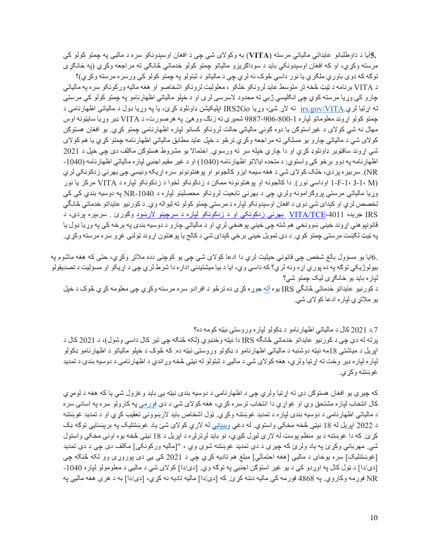.5أيا د داوطلبانو عايداتي مالياتي مرسته (VITA) به وکولای شي چي د افغان اوسېدونکو سره د ماليبي په چمتو کولو ک*ي* مرسته وکړي، او که افغان اوسېدونکي بايد د سوداګريزو مالياتو چمتو کولو خدماتي څانګي ته مراجعه وکړي (په ځانګړي توګه که دوی باوری ملګری یا نور داسی څوک نه لری چی د مالیاتو د ثبتولو یه چمتو کولو کی ورسره مرسته وکړی)؟ د VITA برنامه د ټيټ څخه تر متوسط عايد لرونکو خلکو ، معلوليت لرونکو اشخاصو او هغه ماليه ورکونکو سره په مالياتي چارو کي وړيا مرسته کوي چي انګليسي ژبي ته محدود لاسرسي لري او د خپلو مالياتي اظهارنامو په چمتو کولو کي مرستي ته اړتیا لري.irs.gov/VITA ته لاړ شئ، وړیا IRS2Go ایلیکیشن ډاونلوډ کړئ، یا یه وړیا ډول د مالیاتی اظهارنامی د جمتو کولو اړوند معلوماتو لپاره 1-800-906-9887 شمېري ته زنګ ووهئ .په هرصورت، د VITA ډېر وړيا سايټونه اوس مهال نه شي کولای د غیراستوګن یا دوه ګونبي مالیاتي حالت لرونکو کسانو لپاره اظهارنامي چمتو کړي. یو افغان هستوګن کولای شي د مالياتي چارو يو مسلکي ته مراجعه وکړي ترڅو د خپل عايد مطابق مالياتي اظهارنامه چمتو کړي يا هم کولاي شي اړوند سافټوير ډاونلوډ کړي او دا چاري خپله سر ته ورسوي احتمالا يو مشروط هستوګن مکلف دی چې خپل د 2021 اظهارنامه يه دوو برخو كي واستوي: د متحده ايالاتو اظهارنامه (1040) او د غير مقيم اجنبي لياره مالياتي اظهارنامه (1040-NR). سربير ه پر دې، خلک کولای شي د هغه سيمه ايزو کالجونو او پوهنتونونو سره اړيکه ونيسي چي بهرني ز دکونکي لري (I-F-1، J-1، M اوداسي نور). دا کالجونه او پوهنتونونه ممکن د زدکونکو لخوا د زدکونکو لپاره د VITA مرکز يا نور وړيا مالياتي مرستي پروګرامونه ولري چي د بهرني تابعيت لرونکو محصلينو لياره د NR-1040 په دوسيه بندي کي کي تخصص لري او كبداي شي دوي د افغان اوسېدونكو لپاره د مرستي چمتو كولو ته ليواله وي. د كورنيو عايداتو خدماتي څانگي IRS جریده VITA/TCE،4011 بهرنی زدکونکی او د زدکونکو لپاره د سرچینو لارښود وگورئ . سربېره پردې، د قانونپو هني اړوند ځينې ښوونځي هم شته چې ځيني پو هنځي لري او د مالياتي چارو د دوسيه بندۍ په برخه کې په وړيا ډول يا په ټيټ لګښت مرستي چمتو کوي. د دې تمويل ځيني برخي کېدای شي د کالج يا پوهنتون اړوند ټولني غړو سره مرسته وکړي.

.6ايا يو مسؤول بالغ شخص چي قانوني حيثيت لري دا ادعا كولاى شي چي يو كوچني دده ملاتړ وكړي، حتى كه هغه ماشوم په بيولوژيکي توګه په ده پور ي اړه ونه لري؟ که داسې وي، ايا د بيا ميشتيدنې اداره دا شرط لري چې د اړيکو او مسؤليت د تصديقولو لیار ه باید یو ځانګړی لیک چمتو شي؟

د کورنيو عايداتو خدماتي څانگي IRS يوه آله جوړه کړي ده تر څو د افر ادو سره مرسته وکړي چي معلومه کړي څوک د خپل يو ملاتړي لپاره ادعا كولاي شي.

7 د. 2021 کال د مالياتي اظهار نامو د ډکولو لپار ه وروستي نيټه کومه ده؟ پرته له دې چي د کورنيو عايداتو خدماتي څانگه IRS دا نېټه وخنډوي (لکه څنګه چي تير کال داسي وشول)، د 2021 کال د ايريل د مياشتى 18مه نېټه دوشنبه د مالياتي اظهارنامو د ډکولو وروستي نيټه ده. که څوک د خپلو مالياتو د اظهارنامو ډکولو لیاره لیاره ډیر وخت ته اړتیا ولري، هغه کولای شي د مالیې د ثبتولو له نیټې څخه وړاندي د اظهارنامې د دوسیه بندۍ د تمدید غوښتنه وکړي.

که چیرې یو افغان هستوګن دې ته اړتیا ولري چې د اظهارنامې د دوسیه بندۍ نیټه یې باید وغزول شي یا که هغه د لومړي کال انتخاب لپار ه مشتحق وي او غواړي دا انتخاب ترسر ه کړي، هغه کولای شي د دې <u>فور مي</u> په کارولو سره په اسانۍ سره د مالياتي اظهارنامي د دوسيه بندي لپاره د تمديد غوښتنه وكړي. ټول اشخاص بايد لارښووني تعقيب كړي او د تمديد غوښتنه د 2022 اپریل له 18 نیټی څخه مخکي واستوي. له دغی ویبپاڼی له لارې کولای شئ ياد غوښتنليک په برېښنايي توګه ډک کړئ. که دا غوښتنه د يو منظم يوسټ له لاري ليرل کيري، نو بايد لرترلره د ابريل د 18 نيټي څخه يوه اونۍ مخکي واستول شي. مهرباني وکړئ په ياد ولرئ که چيرې د دې تمديد غوښتنه شوې وي ، "[ماليه ورکونکي] مکلف دی چې د دې تمديد [غوښتنليک] سره يوځای د ماليبي [هغه احتمالي] مبلغ هم ناديه کړي چې د 2021 کې يې دي پوروړي وو لکه څنګه چې [دی/دا] د ټول کال په اوږدو کې د يو غير استوګن اجنبي په توګه وي. [دی/دا] کولای شي د ماليې د معلومولو لپاره 1040-NR فورمه وكاروي<sub>.</sub> په 4868 فورمه كي ماليه دننه كړي. كه [دي/دا] ماليه تاديه نه كړي، [دي/دا] به د هرې هغه ماليي په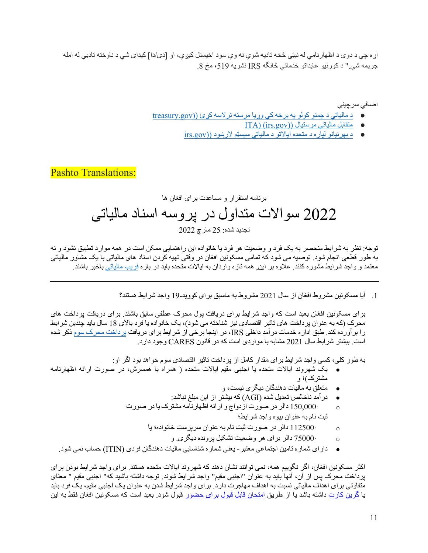اړه چی د دوی د اظهار نامی له نیټی څخه تادیه شوي نه وي سود اخیستل کیږي، او [دی/دا] کیدای شی د ناوخته تادیی له امله هريمه شي." د كورنيو عابداتو خدماتي څانگه IRS نشريه 519، مخ 8.

اضافي سر جينې

- د مالياتي د چمتو کولو په برخه کی وړيا مرسته ترلاسه کړئ ((treasury.gov
	- لباقتم يتایلام لایتسرم ((gov.irs) (ITA
	- د بهرنيانو لپاره د متحده ايالاتو د مالياتي سيستم لارښود ((irs.gov

Pashto Translations:

### برنامه استقرار و مساعدت برای افغان ها 2022 سوالات متداول در پروسه اسناد مالياتي تجديد شده: 25 مار چ 2022

توجه: نظر به شرایط منحصر به یک فرد و وضعیت هر فرد یا خانواده این راهنمایی ممکن است در همه موارد تطبیق نشود و نه به طور قطعی انجام شود. توصیه می شود که نمامی مسکونین افغان در وقتی تهیه کردن اسناد های مالیاتی با یک مشاور مالیاتی معتمد و واجد شر ابط مشور ه کنند. علاو ه بر این. همه تاز ه وار دان به ایالات متحده باید در بار ه فر یب مالیاتی باخبر باشند.

1. آیا مسکونین مشروط افغان از سال 2021 مشروط به ماسبق برای کووید-19 واجد شرایط هستند؟

بر ای مسکونین افغان بعید است که واجد شر ایط بر ای دریافت بول محرک عطفی سابق باشند. بر ای دریافت برداخت های محرک (که به عنوان بر داخت های ناثیر اقتصادی نیز شناخته می شود)، یک خانواده یا فرد بالای 18 سال باید جندین شرایط را بر آورده کند. طبق اداره خدمات در آمد داخلی IRS، در اینجا برخی از شرایط برای دریافت پرداخت محرک سوم ذکر شده است. بیشتر شرایط سال 2021 مشابه با مواردی است که در قانون CARES وجود دارد.

به طور کلی، کسی واجد شرایط بر ای مقدار کامل از پر داخت تاثیر اقتصادی سوم خواهد بود اگر او:

- کی شھروند ایالات متحدہ یا اجنبی مقیم ایالات متحدہ ( ھمراہ با ھمسرش، در صورت ارائه اظھارنامه مشتر ک)؛ و
	- **ه پرمنعل**ق به مالیات دهندگان دیگری نیست، و
	- در آمد ناخالص تعدیل شده (AGI) كه بیشتر از این مبلغ نباشد:
	- o· 150,000 ھئارا و جاودزا تروص رد رلاد تروص رد ای کرتشم ھمانراھظا نست نام به عنوان بیوه واجد شرایط؛
		- o· 112500 ای ؛هداوناخ تسرپرس ناونع ھب مان تبث تروص رد رلاد
			- o· 75000 و .یرگید هدنورپ لیکشت تیعضو رھ یارب رلاد
	- دارای شماره تامین اجتماعی معتبر ـ یعنی شماره شناسایی مالیات دهندگان فردی (ITIN) حساب نمی شود.

اکثر مسکونین افغان، اگر نگوییم همه، نمی توانند نشان دهند که شهروند ایالات متحده هستند. برای واجد شرایط بودن برای بر داخت محرك پس از آن، آنها بايد به عنوان "اجنبي مقيم" واجد شر ايط شوند. توجه داشته باشيد كه" اجنبي مقيم " معناي متفاوتی بر ای اهداف مالیاتی نسبت به اهداف مهاجرت دارد. برای واجد شرایط شدن به عنوان یک اجنبی مقیم، یک فرد باید با گرین کارت داشته باشد یا از طریق امتحان قابل قبول برای حضور قبول شود. بعید است که مسکونین افغان فقط به این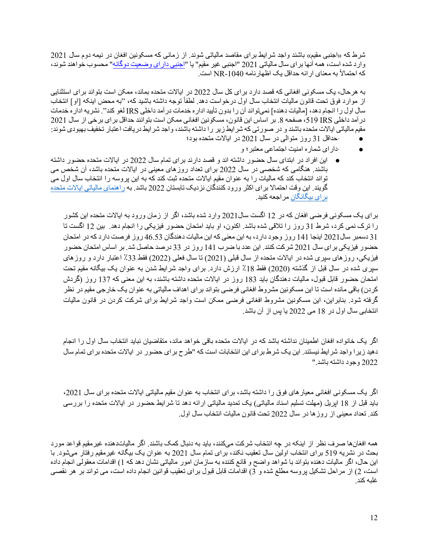شرط که «اجنبی مقیم» باشند واجد شرایط برای مقاصد مالیاتی شوند. از زمانی که مسکونین افغان در نیمه دوم سال 2021 وارد شده است، همه آنها بر اي سال مالياتي 2021 "اجنبي غير مقيم" يا "<u>اجنبي دار اي وضعيت دوگانه</u>" محسوب خواهند شوند، که احتمالاً به معناي ار ائه حداقل يک اظهار نامه 1040-NR است.

به هر حال، یک مسکونی افغانی که قصد دارد برای کل سال 2022 در ایالات متحده بماند، ممکن است بتواند برای استثنایی از موارد فوق تحت قانون مالیات انتخاب سال اول درخواست دهد. لطفاً توجه داشته باشید که، ''به محض اینکه [او] انتخاب سال اول ر ا انجام دهد، [ماليات دهنده] نميتواند آن ر ا بدون تأييد ادار ه خدمات در آمد داخلي IRS لغو كند". نشريه ادار ه خدمات در آمد داخلي S19 IRS 61 صفحه 8. بر اساس اين قانون، مسكونين افغاني ممكن است بتوانند حداقل بر اي برخي از سال 2021 مقیم مالیاتی ایالات متحده باشند و در صورتی که شرایط زیر را داشته باشند، واجد شرایط دریافت اعتبار تخفیف بهبودی شوند:

- · حداقل 31 روز متوالی در سال 2021 در ایالات متحده بود؛
	- دار ای شماره امنیت اجتماعی معتبر ؛ و
- این افراد در ابتدای سال حضور داشته اند و قصد دارند برای تمام سال 2022 در ایالات متحده حضور داشته باشند. هنگامی که شخصی در سال 2022 برای تعداد روز های معینی در ایالات متحده باشد، آن شخص می تواند انتخاب کند که مالیات را به عنوان مقیم ایالات متحده ثبت کند که به این پروسه را انتخاب سال اول می گویند. این وقت احتمالا برای اکثر ورود کنندگان نزدیک تابستان 2022 باشد. به <u>راهنمای مالیاتی ایالات متحده</u> بر ا*ی* بیگانگان مر ا**جعه کنید**.

بر ای یک مسکونی فرضی افغان که در 12 اگست سال2021 وارد شده باشد، اگر از زمان ورود به ایالات متحده این کشور را ترک نمی کرد، شرط 31 روز را تلاقی شده باشد. اکنون، او باید امتحان حضور فیزیکی را انجام دهد. بین 12 اگست تا 31 دسمبر سال2021 ابنجا 141 روز وجود دارد، به این معنی که این مالیات دهندگان 46.53 روز فرصت دارد که در امتحان حضور فیزیکی بر ای سال 2021 شرکت کنند. ابن عدد با ضرب 141 روز در 33 درصد حاصل شد. بر اساس امتحان حضور فیزیکی، روز های سپری شده در ایالات متحده از سال قبلی (2021) نا سال فعلی (2022) فقط 33٪ اعتبار دارد و روز های سپری شده در سال قبل از گذشته (2020) فقط 18٪ ارزش دارد. برای واجد شرایط شدن به عنوان یک بیگانه مقیم نحت امتحان حضور قابل قبول، مالیات دهندگان باید 183 روز در ایالات متحده داشته باشند، به این معنبی که 137 روز (گردش كردن) باقي مانده است تا اين مسكونين مشروط افغاني فرضبي بتواند براي اهداف مالياتي به عنوان يک خارجي مقيم در نظر گرفته شود. بنابر این، این مسکونین مشروط افغانی فرضی ممکن است واجد شرایط برای شرکت کردن در قانون مالیات انتخابی سال اول در 18 می 2022 یا پس از آن باشد.

اگر یک خانواده افغان اطمینان نداشته باشد که در ایالات متحده باقی خواهد ماند، متقاضیان نباید انتخاب سال اول را انجام دهید زیر ! و اجد شر ایط نیستند. این یک شر ط بر ای این انتخابات است که "طرح بر ای حضور در ایالات متحده بر ای تمام سال 2022 وجود داشته باشد."

اگر یک مسکونی افغانی معیار های فوق را داشته باشد، برای انتخاب به عنوان مقیم مالیاتی ایالات متحده برای سال 2021، باید قبل از 18 اپریل (مهلت تسلیم اسناد مالیاتی) یک تمدید مالیاتی ار ائه دهد تا شرایط حضور در ایالات متحده را بررسی كند. تعداد معيني از روز ها در سال 2022 تحت قانون ماليات انتخاب سال اول.

همه افغان ها صرف نظر از اینکه در چه انتخاب شرکت میکنند، باید به دنبال کمک باشند. اگر مالیاتدهنده غیرمقیم قواعد مورد بحث در نشریه 519 برای انتخاب اولین سال نعقیب نکند، برای تمام سال 2021 به عنوان یک بیگانه غیرمقیم رفتار میشود. با این حال، اگر مالیات دهنده بنواند با شواهد واضح و قانع کننده به سازمان امور مالیاتی نشان دهد که 1) اقدامات معقولی انجام داده است، 2) از مراحل تشکیل پروسه مطلع شده و 3) اقدامات قابل قبول برای تعقیب قوانین انجام داده است، می تواند بر هر نقصبی غلبه کند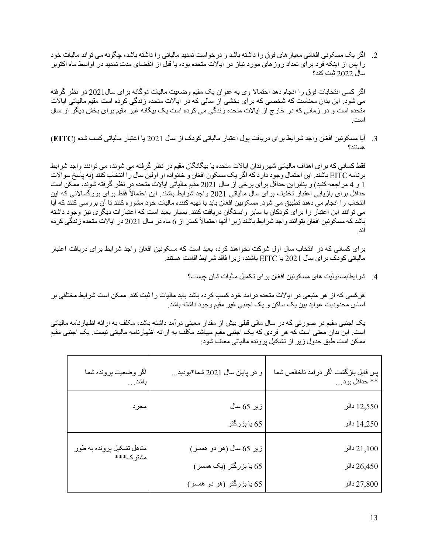2. گلگ یک مسکونی افغانی معیار های فوق را داشته باشد و درخواست تمدید مالیاتی را داشته باشد، چگونه می تواند مالیات خود را پس از اینکه فرد برای تعداد روز های مورد نیاز در ایالات متحده بوده یا قبل از انقضای مدت تمدید در اواسط ماه اکتوبر سال 2022 ثبت کند؟

اگر کسی انتخابات فوق را انجام دهد احتمالا وی به عنوان بک مقیم وضعیت مالیات دوگانه بر ای سال2021 در نظر گرفته می شود. این بدان معناست که شخصی که برای بخشی از سالی که در ایالات متحده زندگی کرده است مقیم مالیاتی ایالات متحده است و در زمانی که در خارج از ایالات متحده زندگی می کرده است یک بیگانه غیر مقیم برای بخش دیگر از سال .تسا

3. آیا مسکونین افغان واجد شرایط بر ای دریافت بول اعتبار مالیاتی کودک از سال 2021 یا اعتبار مالیاتی کسب شده (EITC) ؟دنتسھ

فقط کسانی که برای اهداف مالیاتی شهروندان ایالات متحده یا بیگانگان مقیم در نظر گرفته می شوند، می توانند واجد شرایط بر نامه EITC باشند. این احتمال وجود دار د که اگر یک مسکون افغان و خانواده او اولین سال ر ا انتخاب کنند (به پاسخ سوالات 1 و 4 مراجعه كنید) و بنابر این حداقل برای برخی از سال 2021 مقیم مالیاتی ایالات متحده در نظر گرفته شوند، ممكن است حداقل برای بازیابی اعتبار تخفیف برای سال مالیاتی 2021 واجد شرایط باشند. این احتمالاً فقط برای بزرگسالانی که این انتخاب را انجام می دهند تطبیق می شود. مسکونین افغان باید با تهیه کننده مالیات خود مشوره کنند تا آن بررسی کنند که آیا می توانند این اعتبار را برای کودکان یا سایر وابستگان دریافت کنند. بسیار بعید است که اعتبارات دیگری نیز وجود داشته باشد که مسکونین افغان بتوانند واجد شر ایط باشند زیرا آنها احتمالاً کمتر از 6 ماه در سال 2021 در ایالات متحده زندگی کرده اند

برای کسانی که در انتخاب سال اول شرکت نخواهند کرد، بعید است که مسکونین افغان واجد شرایط برای دریافت اعتبار مالیاتی کودک بر ای سال 2021 یا EITC باشند، زیرا فاقد شرایط اقامت هستند.

4. شر ایط/مسئولیت های مسکونین افغان بر ای تکمیل مالیات شان چیست؟

هرکسی که از هر منبعی در ایالات متحده در امد خود کسب کرده باشد باید مالیات را ثبت کند. ممکن است شر ایط مختلفی بر اساس محدودیت عواید بین یک ساکن و یک اجنبی غیر مقیم وجود داشته باشد.

یک اجنبی مقیم در صورتی که در سال مالی قبلی بیش از مقدار معینی درآمد داشته باشد، مکلف به ارائه اظهارنامه مالیاتی است. این بدان معنی است که هر فردی که یک اجنبی مقیم میباشد مکلف به ار ائه اظهارنامه مالیاتی نیست. یک اجنبی مقیم ممکن است طبق جدول زیر از تشکیل پرونده مالیاتی معاف شود:

| اگر وضعيت پرونده شما<br>باشد…         | و در پایان سال 2021 شما*بودید… | پس فایل بازگشت اگر در آمد ناخالص شما<br>** حداقل بود… |
|---------------------------------------|--------------------------------|-------------------------------------------------------|
| مجرد                                  | زیر 65 سال                     | 12,550 دالر                                           |
|                                       | 65 يا بزرگتر                   | 14,250 دالر                                           |
| متاهل تشكيل پرونده به طور<br>مشترك*** | زیر 65 سال (هر دو همسر)        | 21,100                                                |
|                                       | 65 یا بزرگتر (یک همسر)         | 26,450 دالر                                           |
|                                       | 65 یا بزرگتر (هر دو همسر)      | 27,800 دالر                                           |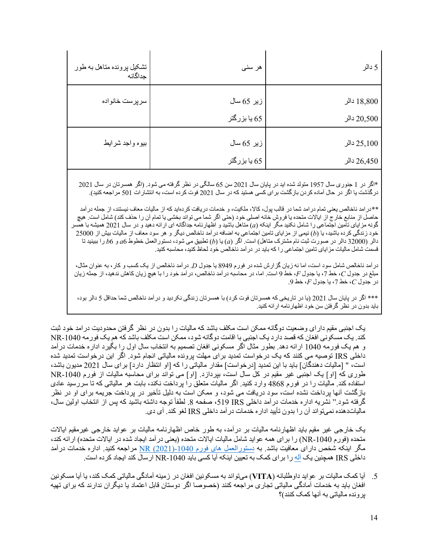| تشكيل پرونده متاهل به طور<br>جداگانه | هر سنی                     | 5 دالر                     |
|--------------------------------------|----------------------------|----------------------------|
| سرپرست خانواده                       | زير 65 سال<br>65 پا بزرگتر | 18,800 دالر<br>20,500 دالر |
| بيوه واجد شرايط                      | زیر 65 سال<br>65 يا بزرگتر | 25,100 دالر<br>26,450 دالر |

\*اگر در 1 جنوری سال 1957 متولد شده اید در پایان سال 2021 سن 65 سالگی در نظر گرفته می شود. (اگر همسرتان در سال 2021 درگذشت یا اگر در حال آماده کردن بازگشت برای کسی هستید که در سال 2021 فوت کرده است، به انتشارات 501 مراجعه کنید).

\*\*در امد ناخالص يعني تمام در امد شما در قالب بول، كالا، ملكيت، و خدمات در يافت كر دهايد كه از ماليات معاف نيستند، از جمله در آمد حاصل از منابع خارج از ایالات متحده یا فروش خانه اصلی خود (حتی اگر شما می تواند بخشی یا تمام آن را حذف کند) شامل است. هیچ گونه مزاياي تامين اجتماعي را شامل نكنيد مگر اينكه (a) مناهل باشيد و اظهارنامه جداگانه اي ارائه دهيد و در سال 2021 هميشه با همسر خود زندگی کرده باشید، یا (b) نیمی از مزایای تامین اجتماعی به اضافه درآمد ناخالص دیگر و هر سود معاف از مالیات بیش از 25000 دالر (32000 دالر در صورت ثبت نام مشترک مناهل) است. اگر (a) یا (b) تطبیق می شود، دستور العمل خطوط 6*a* و 6b را ببینید تا قسمت شامل مالیات مز ایای تامین اجتماعی را که باید در در آمد ناخالص خود لحاظ کنید، محاسبه کنید.

در آمد ناخالص شامل سود است، اما نه زیان گزارش شده در فورم 8949 یا جدول *D.* در آمد ناخالص از یک کسب و کار ، به عنوان مثال، مبلغ در جدول *C*، خط 7، یا جدول *F ،* خط 9 است. اما، در محاسبه درآمد ناخالص، درآمد خود را با هیچ زیان کاهش ندهید، از جمله زیان لودج رد *C* طخ ، 7 لودج ای ، *F* طخ ، 9 .

\*\*\* اگر در بابان سال 2021 (با در تاریخی که همسرتان فوت کرد) با همسرتان زندگی نکردید و درآمد ناخالص شما حداقل 5 دالر بود، باید بدون در نظر گرفتن سن خود اظهارنامه ارائه کنید.

یک اجنبی مقیم دارای وضعیت دوگانه ممکن است مکلف باشد که مالیات را بدون در نظر گرفتن محدودیت درامد خود ثبت کند. یک مسکونی افغان که قصد دارد یک اجنبی با اقامت دوگانه شود، ممکن است مکلف باشد که هم یک فور مه NR-1040 و هم يک فورمه 1040 ارائه دهد. بطور مثال اگر مسکوني افغان تصميم به انتخاب سال اول را بگيرد اداره خدمات درآمد داخلی IRS نوصیه می کنند که یک درخواست تمدید برای مهلت پرونده مالیاتی انجام شود. اگر این درخواست تمدید شده است، " [ماليات دهندگان] بايد با اين تمديد [درخواست] مقدار مالياتي را كه [او انتظار دارد] براي سال 2021 مديون باشد، طوری که [او] یک اجنبی غیر مقیم در کل سال است، بپردازد. [او] می تواند برای محاسبه مالیات از فورم NR-1040 استفاده کند. مالیات را در فورم 4868 وارد کنید. اگر مالیات متعلق را پرداخت نکند، بابت هر مالیاتی که تا سررسید عادی بازگشت آنها برداخت نشده است، سود دریافت می شود، و ممکن است به دلیل تأخیر در برداخت جریمه برای او در نظر گرفته شود " نشریه ادار ه خدمات در آمد داخلی IRS و519، صفحه 8. لطفاً توجه داشته باشید که پس از انتخاب اولین سال، مالیاتدهنده نمیتواند آن را بدون تأیید اداره خدمات در آمد داخلی IRS لغو کند. آی دی.

یک خارجی غیر مقیم باید اظهارنامه مالیات بر در آمد، به طور خاص اظهارنامه مالیات بر عواید خارجی غیرمقیم ایالات متحده (فور م 1040-NR) را بر ای همه عواید شامل مالیات ایالات متحده (یعنی در آمد ایجاد شده در ایالات متحده) ار ائه كند، <u>مگر اینکه شخص دارای معافیت باشد. به دستورالعمل های فورم 1040-(2021) NR</u> مراجعه کنید. اداره خدمات درآمد داخلی IRS همچنین یک آله ر ! بر ای کمک به تعیین اینکه آیا کسی باید 1040-NR ار سال کند ایجاد کر ده است.

5. آیا کمک مالیات بر عواید داوطلبانه (VITA) میتواند به مسکونین افغان در زمینه آمادگی مالیاتی کمک کند، یا آیا مسکونین افغان بايد به خدمات آمادگی مالياتی نجار ي مر اجعه كنند (خصوصا اگر دوستان قابل اعتماد يا ديگر ان ندار ند كه بر اي تهيه برونده مالیاتی به آنها کمک کنند)؟